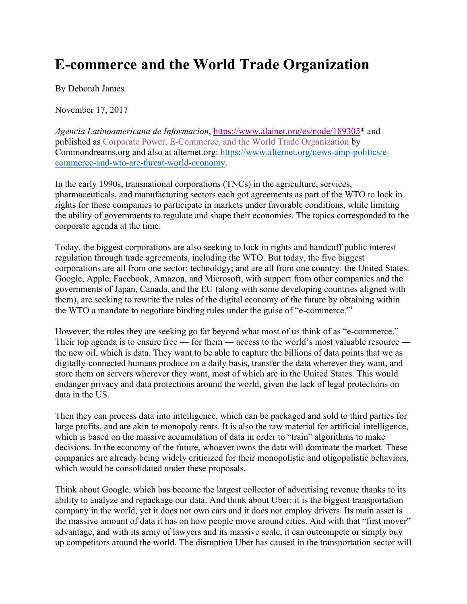## **E-commerce and the World Trade Organization**

By Deborah James

November 17, 2017

*Agencia Latinoamericana de Informacion*, https://www.alainet.org/es/node/189305\* and published as Corporate Power, E-Commerce, and the World Trade Organization by Commondreams.org and also at alternet.org: https://www.alternet.org/news-amp-politics/ecommerce-and-wto-are-threat-world-economy.

In the early 1990s, transnational corporations (TNCs) in the agriculture, services, pharmaceuticals, and manufacturing sectors each got agreements as part of the WTO to lock in rights for those companies to participate in markets under favorable conditions, while limiting the ability of governments to regulate and shape their economies. The topics corresponded to the corporate agenda at the time.

Today, the biggest corporations are also seeking to lock in rights and handcuff public interest regulation through trade agreements, including the WTO. But today, the five biggest corporations are all from one sector: technology; and are all from one country: the United States. Google, Apple, Facebook, Amazon, and Microsoft, with support from other companies and the governments of Japan, Canada, and the EU (along with some developing countries aligned with them), are seeking to rewrite the rules of the digital economy of the future by obtaining within the WTO a mandate to negotiate binding rules under the guise of "e-commerce."<sup>i</sup>

However, the rules they are seeking go far beyond what most of us think of as "e-commerce." Their top agenda is to ensure free — for them — access to the world's most valuable resource the new oil, which is data. They want to be able to capture the billions of data points that we as digitally-connected humans produce on a daily basis, transfer the data wherever they want, and store them on servers wherever they want, most of which are in the United States. This would endanger privacy and data protections around the world, given the lack of legal protections on data in the US.

Then they can process data into intelligence, which can be packaged and sold to third parties for large profits, and are akin to monopoly rents. It is also the raw material for artificial intelligence, which is based on the massive accumulation of data in order to "train" algorithms to make decisions. In the economy of the future, whoever owns the data will dominate the market. These companies are already being widely criticized for their monopolistic and oligopolistic behaviors, which would be consolidated under these proposals.

Think about Google, which has become the largest collector of advertising revenue thanks to its ability to analyze and repackage our data. And think about Uber: it is the biggest transportation company in the world, yet it does not own cars and it does not employ drivers. Its main asset is the massive amount of data it has on how people move around cities. And with that "first mover" advantage, and with its army of lawyers and its massive scale, it can outcompete or simply buy up competitors around the world. The disruption Uber has caused in the transportation sector will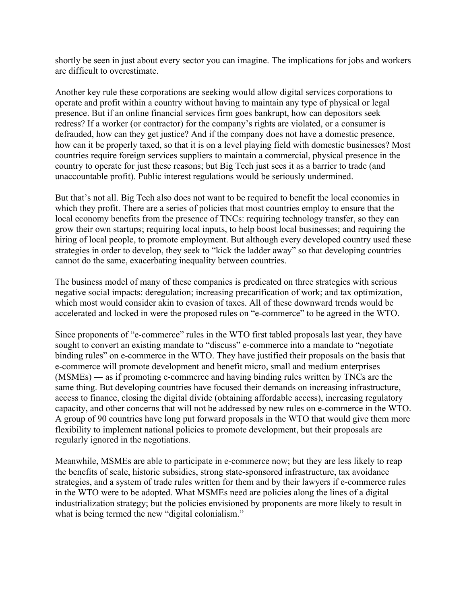shortly be seen in just about every sector you can imagine. The implications for jobs and workers are difficult to overestimate.

Another key rule these corporations are seeking would allow digital services corporations to operate and profit within a country without having to maintain any type of physical or legal presence. But if an online financial services firm goes bankrupt, how can depositors seek redress? If a worker (or contractor) for the company's rights are violated, or a consumer is defrauded, how can they get justice? And if the company does not have a domestic presence, how can it be properly taxed, so that it is on a level playing field with domestic businesses? Most countries require foreign services suppliers to maintain a commercial, physical presence in the country to operate for just these reasons; but Big Tech just sees it as a barrier to trade (and unaccountable profit). Public interest regulations would be seriously undermined.

But that's not all. Big Tech also does not want to be required to benefit the local economies in which they profit. There are a series of policies that most countries employ to ensure that the local economy benefits from the presence of TNCs: requiring technology transfer, so they can grow their own startups; requiring local inputs, to help boost local businesses; and requiring the hiring of local people, to promote employment. But although every developed country used these strategies in order to develop, they seek to "kick the ladder away" so that developing countries cannot do the same, exacerbating inequality between countries.

The business model of many of these companies is predicated on three strategies with serious negative social impacts: deregulation; increasing precarification of work; and tax optimization, which most would consider akin to evasion of taxes. All of these downward trends would be accelerated and locked in were the proposed rules on "e-commerce" to be agreed in the WTO.

Since proponents of "e-commerce" rules in the WTO first tabled proposals last year, they have sought to convert an existing mandate to "discuss" e-commerce into a mandate to "negotiate binding rules" on e-commerce in the WTO. They have justified their proposals on the basis that e-commerce will promote development and benefit micro, small and medium enterprises (MSMEs) ― as if promoting e-commerce and having binding rules written by TNCs are the same thing. But developing countries have focused their demands on increasing infrastructure, access to finance, closing the digital divide (obtaining affordable access), increasing regulatory capacity, and other concerns that will not be addressed by new rules on e-commerce in the WTO. A group of 90 countries have long put forward proposals in the WTO that would give them more flexibility to implement national policies to promote development, but their proposals are regularly ignored in the negotiations.

Meanwhile, MSMEs are able to participate in e-commerce now; but they are less likely to reap the benefits of scale, historic subsidies, strong state-sponsored infrastructure, tax avoidance strategies, and a system of trade rules written for them and by their lawyers if e-commerce rules in the WTO were to be adopted. What MSMEs need are policies along the lines of a digital industrialization strategy; but the policies envisioned by proponents are more likely to result in what is being termed the new "digital colonialism."